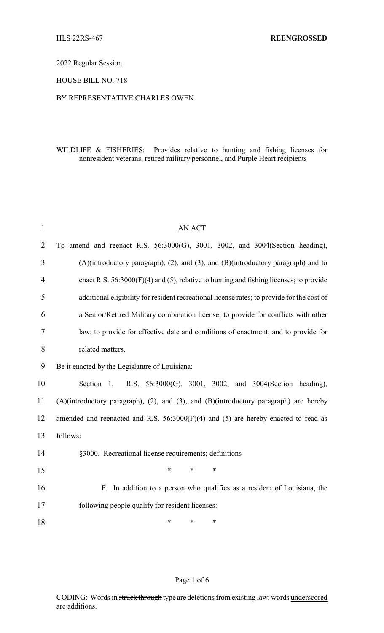## 2022 Regular Session

### HOUSE BILL NO. 718

#### BY REPRESENTATIVE CHARLES OWEN

## WILDLIFE & FISHERIES: Provides relative to hunting and fishing licenses for nonresident veterans, retired military personnel, and Purple Heart recipients

| $\mathbf{1}$   | <b>AN ACT</b>                                                                              |  |  |  |
|----------------|--------------------------------------------------------------------------------------------|--|--|--|
| $\overline{2}$ | To amend and reenact R.S. 56:3000(G), 3001, 3002, and 3004(Section heading),               |  |  |  |
| 3              | (A)(introductory paragraph), (2), and (3), and (B)(introductory paragraph) and to          |  |  |  |
| 4              | enact R.S. $56:3000(F)(4)$ and (5), relative to hunting and fishing licenses; to provide   |  |  |  |
| 5              | additional eligibility for resident recreational license rates; to provide for the cost of |  |  |  |
| 6              | a Senior/Retired Military combination license; to provide for conflicts with other         |  |  |  |
| $\overline{7}$ | law; to provide for effective date and conditions of enactment; and to provide for         |  |  |  |
| 8              | related matters.                                                                           |  |  |  |
| 9              | Be it enacted by the Legislature of Louisiana:                                             |  |  |  |
| 10             | R.S. 56:3000(G), 3001, 3002, and 3004(Section heading),<br>Section 1.                      |  |  |  |
| 11             | (A)(introductory paragraph), (2), and (3), and (B)(introductory paragraph) are hereby      |  |  |  |
| 12             | amended and reenacted and R.S. $56:3000(F)(4)$ and (5) are hereby enacted to read as       |  |  |  |
| 13             | follows:                                                                                   |  |  |  |
| 14             | §3000. Recreational license requirements; definitions                                      |  |  |  |
| 15             | *<br>$\ast$<br>$\ast$                                                                      |  |  |  |
| 16             | F. In addition to a person who qualifies as a resident of Louisiana, the                   |  |  |  |
| 17             | following people qualify for resident licenses:                                            |  |  |  |
| 18             | $\ast$<br>$\ast$<br>$\ast$                                                                 |  |  |  |

## Page 1 of 6

CODING: Words in struck through type are deletions from existing law; words underscored are additions.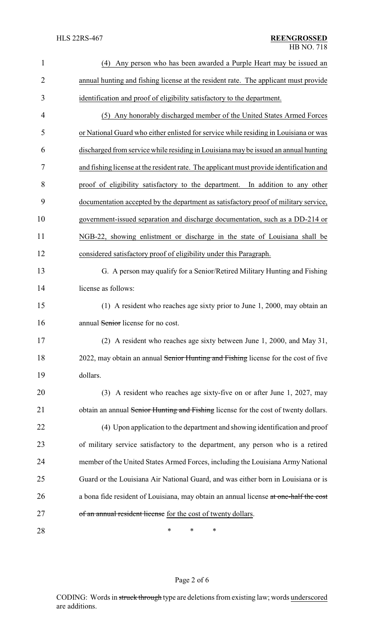| $\mathbf{1}$   | (4) Any person who has been awarded a Purple Heart may be issued an                     |  |
|----------------|-----------------------------------------------------------------------------------------|--|
| $\overline{2}$ | annual hunting and fishing license at the resident rate. The applicant must provide     |  |
| 3              | identification and proof of eligibility satisfactory to the department.                 |  |
| 4              | (5) Any honorably discharged member of the United States Armed Forces                   |  |
| 5              | or National Guard who either enlisted for service while residing in Louisiana or was    |  |
| 6              | discharged from service while residing in Louisiana may be issued an annual hunting     |  |
| 7              | and fishing license at the resident rate. The applicant must provide identification and |  |
| 8              | proof of eligibility satisfactory to the department. In addition to any other           |  |
| 9              | documentation accepted by the department as satisfactory proof of military service,     |  |
| 10             | government-issued separation and discharge documentation, such as a DD-214 or           |  |
| 11             | NGB-22, showing enlistment or discharge in the state of Louisiana shall be              |  |
| 12             | considered satisfactory proof of eligibility under this Paragraph.                      |  |
| 13             | G. A person may qualify for a Senior/Retired Military Hunting and Fishing               |  |
| 14             | license as follows:                                                                     |  |
| 15             | (1) A resident who reaches age sixty prior to June 1, 2000, may obtain an               |  |
| 16             | annual Senior license for no cost.                                                      |  |
| 17             | (2) A resident who reaches age sixty between June 1, 2000, and May 31,                  |  |
| 18             | 2022, may obtain an annual Senior Hunting and Fishing license for the cost of five      |  |
| 19             | dollars.                                                                                |  |
| 20             | (3) A resident who reaches age sixty-five on or after June 1, 2027, may                 |  |
| 21             | obtain an annual Senior Hunting and Fishing license for the cost of twenty dollars.     |  |
| 22             | (4) Upon application to the department and showing identification and proof             |  |
| 23             | of military service satisfactory to the department, any person who is a retired         |  |
| 24             | member of the United States Armed Forces, including the Louisiana Army National         |  |
| 25             | Guard or the Louisiana Air National Guard, and was either born in Louisiana or is       |  |
| 26             | a bona fide resident of Louisiana, may obtain an annual license at one-half the cost    |  |
| 27             | of an annual resident license for the cost of twenty dollars.                           |  |
| 28             | ∗<br>∗<br>∗                                                                             |  |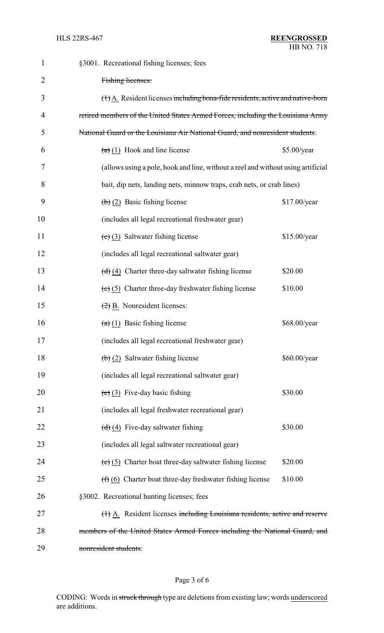| $\mathbf{1}$   | §3001. Recreational fishing licenses; fees                                                      |  |  |
|----------------|-------------------------------------------------------------------------------------------------|--|--|
| $\overline{2}$ | Fishing licenses:                                                                               |  |  |
| 3              | $(\dagger)$ A. Resident licenses including bona-fide residents, active and native-born          |  |  |
| 4              | retired members of the United States Armed Forces, including the Louisiana Army                 |  |  |
| 5              | National Guard or the Louisiana Air National Guard, and nonresident students:                   |  |  |
| 6              | $(a)$ (1) Hook and line license<br>\$5.00/year                                                  |  |  |
| 7              | (allows using a pole, hook and line, without a reel and without using artificial                |  |  |
| 8              | bait, dip nets, landing nets, minnow traps, crab nets, or crab lines)                           |  |  |
| 9              | $\left(\frac{b}{2}\right)$ Basic fishing license<br>\$17.00/year                                |  |  |
| 10             | (includes all legal recreational freshwater gear)                                               |  |  |
| 11             | $(e)$ (3) Saltwater fishing license<br>\$15.00/year                                             |  |  |
| 12             | (includes all legal recreational saltwater gear)                                                |  |  |
| 13             | $\left(\frac{d}{d}\right)\left(4\right)$ Charter three-day saltwater fishing license<br>\$20.00 |  |  |
| 14             | $(e)$ (5) Charter three-day freshwater fishing license<br>\$10.00                               |  |  |
| 15             | $(2)$ B. Nonresident licenses:                                                                  |  |  |
| 16             | $(a)$ (1) Basic fishing license<br>\$68.00/year                                                 |  |  |
| 17             | (includes all legal recreational freshwater gear)                                               |  |  |
| 18             | $\left(\frac{1}{2}\right)$ Saltwater fishing license<br>\$60.00/year                            |  |  |
| 19             | (includes all legal recreational saltwater gear)                                                |  |  |
| 20             | $(e)$ (3) Five-day basic fishing<br>\$30.00                                                     |  |  |
| 21             | (includes all legal freshwater recreational gear)                                               |  |  |
| 22             | $\left(\frac{d}{d}\right)$ (4) Five-day saltwater fishing<br>\$30.00                            |  |  |
| 23             | (includes all legal saltwater recreational gear)                                                |  |  |
| 24             | \$20.00<br>$(e)$ (5) Charter boat three-day saltwater fishing license                           |  |  |
| 25             | \$10.00<br>$(f)$ (6) Charter boat three-day freshwater fishing license                          |  |  |
| 26             | §3002. Recreational hunting licenses; fees                                                      |  |  |
| 27             | (1) A. Resident licenses including Louisiana residents, active and reserve                      |  |  |
| 28             | members of the United States Armed Forces including the National Guard, and                     |  |  |
| 29             | nonresident students:                                                                           |  |  |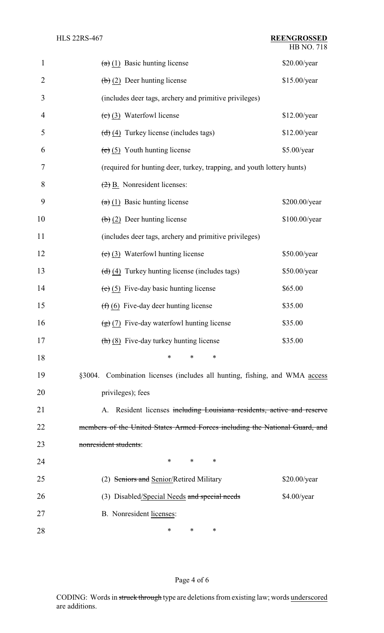HB NO. 718

| $\mathbf{1}$   | $(a)$ (1) Basic hunting license                                                 | \$20.00/year  |  |
|----------------|---------------------------------------------------------------------------------|---------------|--|
| $\overline{2}$ | $\left(\frac{b}{c}\right)$ (2) Deer hunting license                             | \$15.00/year  |  |
| 3              | (includes deer tags, archery and primitive privileges)                          |               |  |
| $\overline{4}$ | $(e)$ (3) Waterfowl license                                                     | \$12.00/year  |  |
| 5              | $\left(\frac{d}{d}\right)\left(4\right)$ Turkey license (includes tags)         | \$12.00/year  |  |
| 6              | $(e)$ (5) Youth hunting license                                                 | \$5.00/year   |  |
| 7              | (required for hunting deer, turkey, trapping, and youth lottery hunts)          |               |  |
| 8              | $\left(\frac{2}{2}\right)$ B. Nonresident licenses:                             |               |  |
| 9              | $(a)$ (1) Basic hunting license                                                 | \$200.00/year |  |
| 10             | $\left(\frac{b}{c}\right)$ (2) Deer hunting license                             | \$100.00/year |  |
| 11             | (includes deer tags, archery and primitive privileges)                          |               |  |
| 12             | $(e)$ (3) Waterfowl hunting license                                             | \$50.00/year  |  |
| 13             | $\left(\frac{d}{d}\right)\left(4\right)$ Turkey hunting license (includes tags) | \$50.00/year  |  |
| 14             | $(e)$ (5) Five-day basic hunting license                                        | \$65.00       |  |
| 15             | $(f)$ (6) Five-day deer hunting license                                         | \$35.00       |  |
| 16             | $\left(\frac{1}{2}\right)$ (7) Five-day waterfowl hunting license               | \$35.00       |  |
| 17             | $\left(\frac{h}{h}\right)$ (8) Five-day turkey hunting license                  | \$35.00       |  |
| 18             | *<br>∗<br>∗                                                                     |               |  |
| 19             | §3004. Combination licenses (includes all hunting, fishing, and WMA access      |               |  |
| 20             | privileges); fees                                                               |               |  |
| 21             | A. Resident licenses including Louisiana residents, active and reserve          |               |  |
| 22             | members of the United States Armed Forces including the National Guard, and     |               |  |
| 23             | nonresident students:                                                           |               |  |
| 24             | $\ast$<br>*<br>∗                                                                |               |  |
| 25             | (2) Seniors and Senior/Retired Military                                         | \$20.00/year  |  |
| 26             | (3) Disabled/Special Needs and special needs                                    | \$4.00/year   |  |
| 27             | B. Nonresident licenses:                                                        |               |  |
| 28             | ∗<br>∗<br>∗                                                                     |               |  |

# Page 4 of 6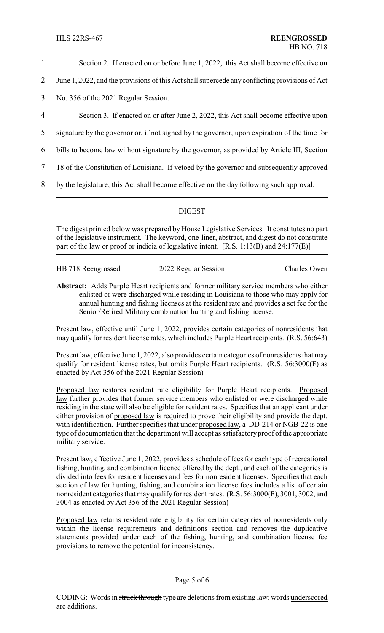- 1 Section 2. If enacted on or before June 1, 2022, this Act shall become effective on
- 2 June 1, 2022, and the provisions of this Act shall supercede any conflicting provisions of Act
- 3 No. 356 of the 2021 Regular Session.
- 4 Section 3. If enacted on or after June 2, 2022, this Act shall become effective upon
- 5 signature by the governor or, if not signed by the governor, upon expiration of the time for
- 6 bills to become law without signature by the governor, as provided by Article III, Section
- 7 18 of the Constitution of Louisiana. If vetoed by the governor and subsequently approved
- 8 by the legislature, this Act shall become effective on the day following such approval.

### DIGEST

The digest printed below was prepared by House Legislative Services. It constitutes no part of the legislative instrument. The keyword, one-liner, abstract, and digest do not constitute part of the law or proof or indicia of legislative intent. [R.S. 1:13(B) and 24:177(E)]

| HB 718 Reengrossed | 2022 Regular Session | <b>Charles Owen</b> |
|--------------------|----------------------|---------------------|
|                    |                      |                     |

**Abstract:** Adds Purple Heart recipients and former military service members who either enlisted or were discharged while residing in Louisiana to those who may apply for annual hunting and fishing licenses at the resident rate and provides a set fee for the Senior/Retired Military combination hunting and fishing license.

Present law, effective until June 1, 2022, provides certain categories of nonresidents that may qualify for resident license rates, which includes Purple Heart recipients. (R.S. 56:643)

Present law, effective June 1, 2022, also provides certain categories of nonresidents that may qualify for resident license rates, but omits Purple Heart recipients. (R.S. 56:3000(F) as enacted by Act 356 of the 2021 Regular Session)

Proposed law restores resident rate eligibility for Purple Heart recipients. Proposed law further provides that former service members who enlisted or were discharged while residing in the state will also be eligible for resident rates. Specifies that an applicant under either provision of proposed law is required to prove their eligibility and provide the dept. with identification. Further specifies that under proposed law, a DD-214 or NGB-22 is one type of documentation that the department will accept as satisfactoryproof of the appropriate military service.

Present law, effective June 1, 2022, provides a schedule of fees for each type of recreational fishing, hunting, and combination licence offered by the dept., and each of the categories is divided into fees for resident licenses and fees for nonresident licenses. Specifies that each section of law for hunting, fishing, and combination license fees includes a list of certain nonresident categories that may qualify for resident rates. (R.S. 56:3000(F), 3001, 3002, and 3004 as enacted by Act 356 of the 2021 Regular Session)

Proposed law retains resident rate eligibility for certain categories of nonresidents only within the license requirements and definitions section and removes the duplicative statements provided under each of the fishing, hunting, and combination license fee provisions to remove the potential for inconsistency.

### Page 5 of 6